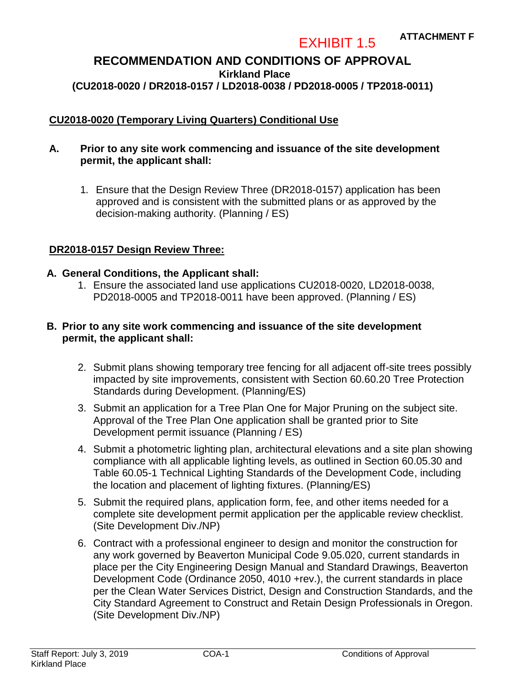#### **ATTACHMENT F**

**RECOMMENDATION AND CONDITIONS OF APPROVAL Kirkland Place (CU2018-0020 / DR2018-0157 / LD2018-0038 / PD2018-0005 / TP2018-0011)**

EXHIBIT 1.5

### **CU2018-0020 (Temporary Living Quarters) Conditional Use**

#### **A. Prior to any site work commencing and issuance of the site development permit, the applicant shall:**

1. Ensure that the Design Review Three (DR2018-0157) application has been approved and is consistent with the submitted plans or as approved by the decision-making authority. (Planning / ES)

#### **DR2018-0157 Design Review Three:**

#### **A. General Conditions, the Applicant shall:**

1. Ensure the associated land use applications CU2018-0020, LD2018-0038, PD2018-0005 and TP2018-0011 have been approved. (Planning / ES)

#### **B. Prior to any site work commencing and issuance of the site development permit, the applicant shall:**

- 2. Submit plans showing temporary tree fencing for all adjacent off-site trees possibly impacted by site improvements, consistent with Section 60.60.20 Tree Protection Standards during Development. (Planning/ES)
- 3. Submit an application for a Tree Plan One for Major Pruning on the subject site. Approval of the Tree Plan One application shall be granted prior to Site Development permit issuance (Planning / ES)
- 4. Submit a photometric lighting plan, architectural elevations and a site plan showing compliance with all applicable lighting levels, as outlined in Section 60.05.30 and Table 60.05-1 Technical Lighting Standards of the Development Code, including the location and placement of lighting fixtures. (Planning/ES)
- 5. Submit the required plans, application form, fee, and other items needed for a complete site development permit application per the applicable review checklist. (Site Development Div./NP)
- 6. Contract with a professional engineer to design and monitor the construction for any work governed by Beaverton Municipal Code 9.05.020, current standards in place per the City Engineering Design Manual and Standard Drawings, Beaverton Development Code (Ordinance 2050, 4010 +rev.), the current standards in place per the Clean Water Services District, Design and Construction Standards, and the City Standard Agreement to Construct and Retain Design Professionals in Oregon. (Site Development Div./NP)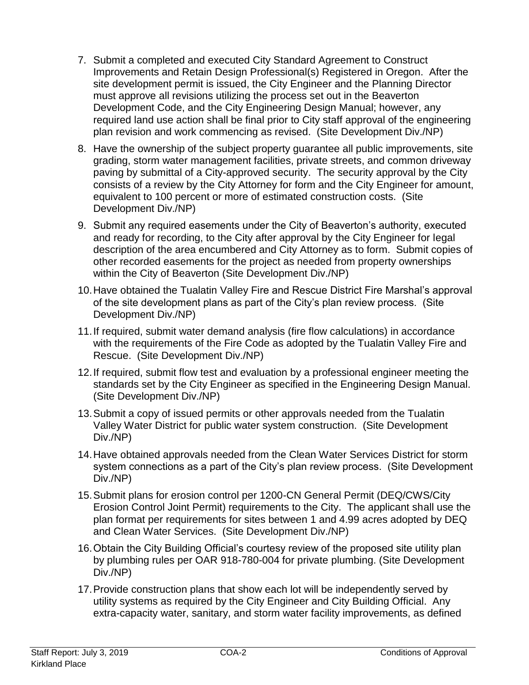- 7. Submit a completed and executed City Standard Agreement to Construct Improvements and Retain Design Professional(s) Registered in Oregon. After the site development permit is issued, the City Engineer and the Planning Director must approve all revisions utilizing the process set out in the Beaverton Development Code, and the City Engineering Design Manual; however, any required land use action shall be final prior to City staff approval of the engineering plan revision and work commencing as revised. (Site Development Div./NP)
- 8. Have the ownership of the subject property guarantee all public improvements, site grading, storm water management facilities, private streets, and common driveway paving by submittal of a City-approved security. The security approval by the City consists of a review by the City Attorney for form and the City Engineer for amount, equivalent to 100 percent or more of estimated construction costs. (Site Development Div./NP)
- 9. Submit any required easements under the City of Beaverton's authority, executed and ready for recording, to the City after approval by the City Engineer for legal description of the area encumbered and City Attorney as to form. Submit copies of other recorded easements for the project as needed from property ownerships within the City of Beaverton (Site Development Div./NP)
- 10.Have obtained the Tualatin Valley Fire and Rescue District Fire Marshal's approval of the site development plans as part of the City's plan review process. (Site Development Div./NP)
- 11.If required, submit water demand analysis (fire flow calculations) in accordance with the requirements of the Fire Code as adopted by the Tualatin Valley Fire and Rescue. (Site Development Div./NP)
- 12.If required, submit flow test and evaluation by a professional engineer meeting the standards set by the City Engineer as specified in the Engineering Design Manual. (Site Development Div./NP)
- 13.Submit a copy of issued permits or other approvals needed from the Tualatin Valley Water District for public water system construction. (Site Development Div./NP)
- 14.Have obtained approvals needed from the Clean Water Services District for storm system connections as a part of the City's plan review process. (Site Development Div./NP)
- 15.Submit plans for erosion control per 1200-CN General Permit (DEQ/CWS/City Erosion Control Joint Permit) requirements to the City. The applicant shall use the plan format per requirements for sites between 1 and 4.99 acres adopted by DEQ and Clean Water Services. (Site Development Div./NP)
- 16.Obtain the City Building Official's courtesy review of the proposed site utility plan by plumbing rules per OAR 918-780-004 for private plumbing. (Site Development Div./NP)
- 17.Provide construction plans that show each lot will be independently served by utility systems as required by the City Engineer and City Building Official. Any extra-capacity water, sanitary, and storm water facility improvements, as defined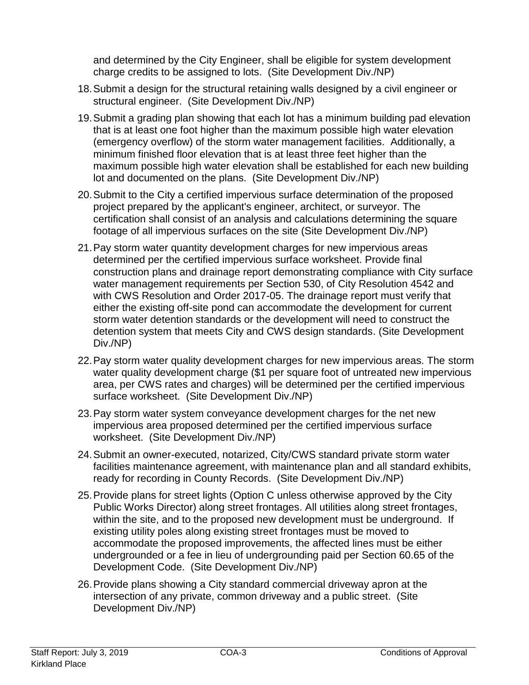and determined by the City Engineer, shall be eligible for system development charge credits to be assigned to lots. (Site Development Div./NP)

- 18.Submit a design for the structural retaining walls designed by a civil engineer or structural engineer. (Site Development Div./NP)
- 19.Submit a grading plan showing that each lot has a minimum building pad elevation that is at least one foot higher than the maximum possible high water elevation (emergency overflow) of the storm water management facilities. Additionally, a minimum finished floor elevation that is at least three feet higher than the maximum possible high water elevation shall be established for each new building lot and documented on the plans. (Site Development Div./NP)
- 20.Submit to the City a certified impervious surface determination of the proposed project prepared by the applicant's engineer, architect, or surveyor. The certification shall consist of an analysis and calculations determining the square footage of all impervious surfaces on the site (Site Development Div./NP)
- 21.Pay storm water quantity development charges for new impervious areas determined per the certified impervious surface worksheet. Provide final construction plans and drainage report demonstrating compliance with City surface water management requirements per Section 530, of City Resolution 4542 and with CWS Resolution and Order 2017-05. The drainage report must verify that either the existing off-site pond can accommodate the development for current storm water detention standards or the development will need to construct the detention system that meets City and CWS design standards. (Site Development Div./NP)
- 22.Pay storm water quality development charges for new impervious areas. The storm water quality development charge (\$1 per square foot of untreated new impervious area, per CWS rates and charges) will be determined per the certified impervious surface worksheet. (Site Development Div./NP)
- 23.Pay storm water system conveyance development charges for the net new impervious area proposed determined per the certified impervious surface worksheet. (Site Development Div./NP)
- 24.Submit an owner-executed, notarized, City/CWS standard private storm water facilities maintenance agreement, with maintenance plan and all standard exhibits, ready for recording in County Records. (Site Development Div./NP)
- 25.Provide plans for street lights (Option C unless otherwise approved by the City Public Works Director) along street frontages. All utilities along street frontages, within the site, and to the proposed new development must be underground. If existing utility poles along existing street frontages must be moved to accommodate the proposed improvements, the affected lines must be either undergrounded or a fee in lieu of undergrounding paid per Section 60.65 of the Development Code. (Site Development Div./NP)
- 26.Provide plans showing a City standard commercial driveway apron at the intersection of any private, common driveway and a public street. (Site Development Div./NP)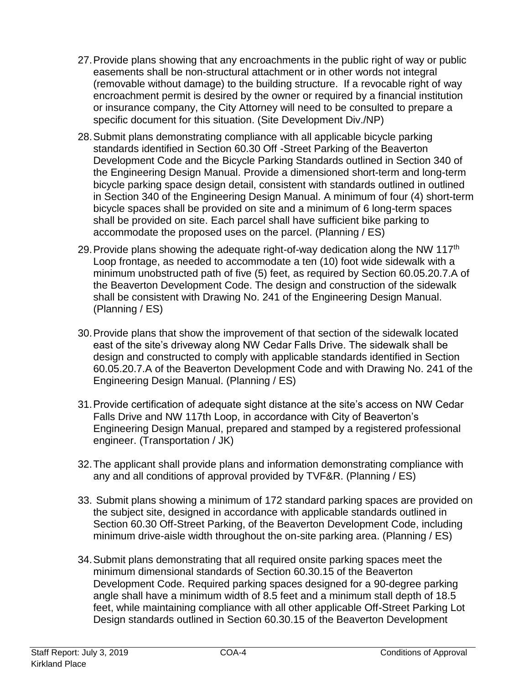- 27.Provide plans showing that any encroachments in the public right of way or public easements shall be non-structural attachment or in other words not integral (removable without damage) to the building structure. If a revocable right of way encroachment permit is desired by the owner or required by a financial institution or insurance company, the City Attorney will need to be consulted to prepare a specific document for this situation. (Site Development Div./NP)
- 28.Submit plans demonstrating compliance with all applicable bicycle parking standards identified in Section 60.30 Off -Street Parking of the Beaverton Development Code and the Bicycle Parking Standards outlined in Section 340 of the Engineering Design Manual. Provide a dimensioned short-term and long-term bicycle parking space design detail, consistent with standards outlined in outlined in Section 340 of the Engineering Design Manual. A minimum of four (4) short-term bicycle spaces shall be provided on site and a minimum of 6 long-term spaces shall be provided on site. Each parcel shall have sufficient bike parking to accommodate the proposed uses on the parcel. (Planning / ES)
- 29. Provide plans showing the adequate right-of-way dedication along the NW 117<sup>th</sup> Loop frontage, as needed to accommodate a ten (10) foot wide sidewalk with a minimum unobstructed path of five (5) feet, as required by Section 60.05.20.7.A of the Beaverton Development Code. The design and construction of the sidewalk shall be consistent with Drawing No. 241 of the Engineering Design Manual. (Planning / ES)
- 30.Provide plans that show the improvement of that section of the sidewalk located east of the site's driveway along NW Cedar Falls Drive. The sidewalk shall be design and constructed to comply with applicable standards identified in Section 60.05.20.7.A of the Beaverton Development Code and with Drawing No. 241 of the Engineering Design Manual. (Planning / ES)
- 31.Provide certification of adequate sight distance at the site's access on NW Cedar Falls Drive and NW 117th Loop, in accordance with City of Beaverton's Engineering Design Manual, prepared and stamped by a registered professional engineer. (Transportation / JK)
- 32.The applicant shall provide plans and information demonstrating compliance with any and all conditions of approval provided by TVF&R. (Planning / ES)
- 33. Submit plans showing a minimum of 172 standard parking spaces are provided on the subject site, designed in accordance with applicable standards outlined in Section 60.30 Off-Street Parking, of the Beaverton Development Code, including minimum drive-aisle width throughout the on-site parking area. (Planning / ES)
- 34.Submit plans demonstrating that all required onsite parking spaces meet the minimum dimensional standards of Section 60.30.15 of the Beaverton Development Code. Required parking spaces designed for a 90-degree parking angle shall have a minimum width of 8.5 feet and a minimum stall depth of 18.5 feet, while maintaining compliance with all other applicable Off-Street Parking Lot Design standards outlined in Section 60.30.15 of the Beaverton Development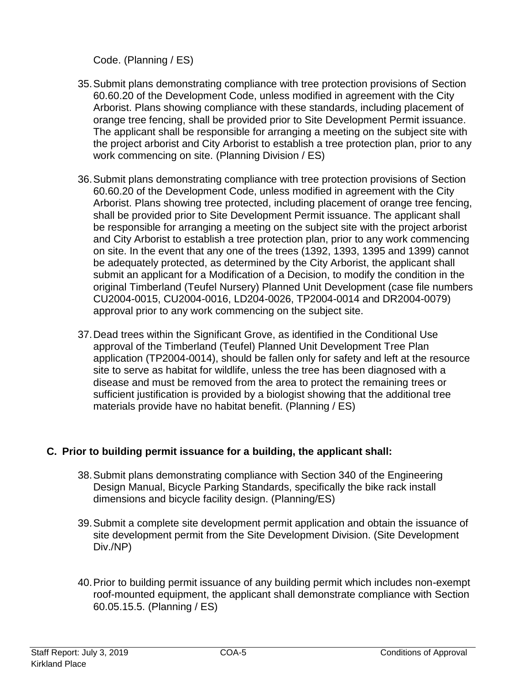Code. (Planning / ES)

- 35.Submit plans demonstrating compliance with tree protection provisions of Section 60.60.20 of the Development Code, unless modified in agreement with the City Arborist. Plans showing compliance with these standards, including placement of orange tree fencing, shall be provided prior to Site Development Permit issuance. The applicant shall be responsible for arranging a meeting on the subject site with the project arborist and City Arborist to establish a tree protection plan, prior to any work commencing on site. (Planning Division / ES)
- 36.Submit plans demonstrating compliance with tree protection provisions of Section 60.60.20 of the Development Code, unless modified in agreement with the City Arborist. Plans showing tree protected, including placement of orange tree fencing, shall be provided prior to Site Development Permit issuance. The applicant shall be responsible for arranging a meeting on the subject site with the project arborist and City Arborist to establish a tree protection plan, prior to any work commencing on site. In the event that any one of the trees (1392, 1393, 1395 and 1399) cannot be adequately protected, as determined by the City Arborist, the applicant shall submit an applicant for a Modification of a Decision, to modify the condition in the original Timberland (Teufel Nursery) Planned Unit Development (case file numbers CU2004-0015, CU2004-0016, LD204-0026, TP2004-0014 and DR2004-0079) approval prior to any work commencing on the subject site.
- 37.Dead trees within the Significant Grove, as identified in the Conditional Use approval of the Timberland (Teufel) Planned Unit Development Tree Plan application (TP2004-0014), should be fallen only for safety and left at the resource site to serve as habitat for wildlife, unless the tree has been diagnosed with a disease and must be removed from the area to protect the remaining trees or sufficient justification is provided by a biologist showing that the additional tree materials provide have no habitat benefit. (Planning / ES)

# **C. Prior to building permit issuance for a building, the applicant shall:**

- 38.Submit plans demonstrating compliance with Section 340 of the Engineering Design Manual, Bicycle Parking Standards, specifically the bike rack install dimensions and bicycle facility design. (Planning/ES)
- 39.Submit a complete site development permit application and obtain the issuance of site development permit from the Site Development Division. (Site Development Div./NP)
- 40.Prior to building permit issuance of any building permit which includes non-exempt roof-mounted equipment, the applicant shall demonstrate compliance with Section 60.05.15.5. (Planning / ES)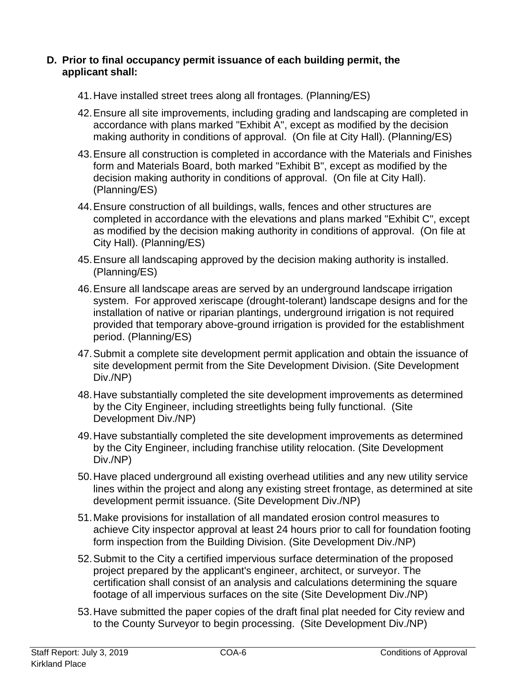## **D. Prior to final occupancy permit issuance of each building permit, the applicant shall:**

- 41.Have installed street trees along all frontages. (Planning/ES)
- 42.Ensure all site improvements, including grading and landscaping are completed in accordance with plans marked "Exhibit A", except as modified by the decision making authority in conditions of approval. (On file at City Hall). (Planning/ES)
- 43.Ensure all construction is completed in accordance with the Materials and Finishes form and Materials Board, both marked "Exhibit B", except as modified by the decision making authority in conditions of approval. (On file at City Hall). (Planning/ES)
- 44.Ensure construction of all buildings, walls, fences and other structures are completed in accordance with the elevations and plans marked "Exhibit C", except as modified by the decision making authority in conditions of approval. (On file at City Hall). (Planning/ES)
- 45.Ensure all landscaping approved by the decision making authority is installed. (Planning/ES)
- 46.Ensure all landscape areas are served by an underground landscape irrigation system. For approved xeriscape (drought-tolerant) landscape designs and for the installation of native or riparian plantings, underground irrigation is not required provided that temporary above-ground irrigation is provided for the establishment period. (Planning/ES)
- 47.Submit a complete site development permit application and obtain the issuance of site development permit from the Site Development Division. (Site Development Div./NP)
- 48.Have substantially completed the site development improvements as determined by the City Engineer, including streetlights being fully functional. (Site Development Div./NP)
- 49.Have substantially completed the site development improvements as determined by the City Engineer, including franchise utility relocation. (Site Development Div./NP)
- 50.Have placed underground all existing overhead utilities and any new utility service lines within the project and along any existing street frontage, as determined at site development permit issuance. (Site Development Div./NP)
- 51.Make provisions for installation of all mandated erosion control measures to achieve City inspector approval at least 24 hours prior to call for foundation footing form inspection from the Building Division. (Site Development Div./NP)
- 52.Submit to the City a certified impervious surface determination of the proposed project prepared by the applicant's engineer, architect, or surveyor. The certification shall consist of an analysis and calculations determining the square footage of all impervious surfaces on the site (Site Development Div./NP)
- 53.Have submitted the paper copies of the draft final plat needed for City review and to the County Surveyor to begin processing. (Site Development Div./NP)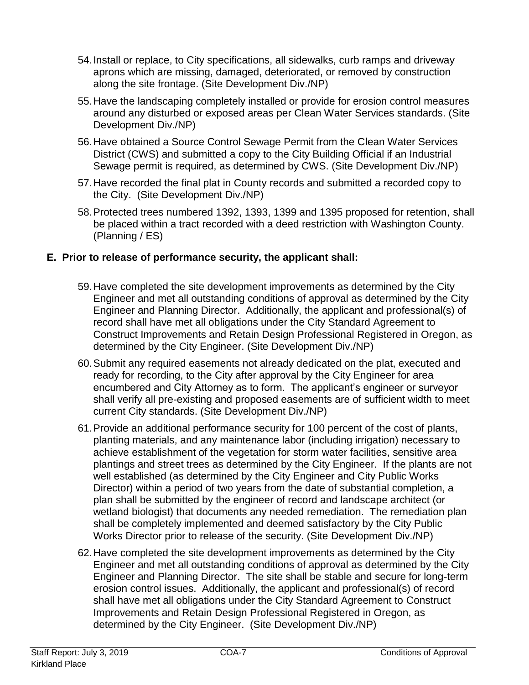- 54.Install or replace, to City specifications, all sidewalks, curb ramps and driveway aprons which are missing, damaged, deteriorated, or removed by construction along the site frontage. (Site Development Div./NP)
- 55.Have the landscaping completely installed or provide for erosion control measures around any disturbed or exposed areas per Clean Water Services standards. (Site Development Div./NP)
- 56.Have obtained a Source Control Sewage Permit from the Clean Water Services District (CWS) and submitted a copy to the City Building Official if an Industrial Sewage permit is required, as determined by CWS. (Site Development Div./NP)
- 57.Have recorded the final plat in County records and submitted a recorded copy to the City. (Site Development Div./NP)
- 58.Protected trees numbered 1392, 1393, 1399 and 1395 proposed for retention, shall be placed within a tract recorded with a deed restriction with Washington County. (Planning / ES)

# **E. Prior to release of performance security, the applicant shall:**

- 59.Have completed the site development improvements as determined by the City Engineer and met all outstanding conditions of approval as determined by the City Engineer and Planning Director. Additionally, the applicant and professional(s) of record shall have met all obligations under the City Standard Agreement to Construct Improvements and Retain Design Professional Registered in Oregon, as determined by the City Engineer. (Site Development Div./NP)
- 60.Submit any required easements not already dedicated on the plat, executed and ready for recording, to the City after approval by the City Engineer for area encumbered and City Attorney as to form. The applicant's engineer or surveyor shall verify all pre-existing and proposed easements are of sufficient width to meet current City standards. (Site Development Div./NP)
- 61.Provide an additional performance security for 100 percent of the cost of plants, planting materials, and any maintenance labor (including irrigation) necessary to achieve establishment of the vegetation for storm water facilities, sensitive area plantings and street trees as determined by the City Engineer. If the plants are not well established (as determined by the City Engineer and City Public Works Director) within a period of two years from the date of substantial completion, a plan shall be submitted by the engineer of record and landscape architect (or wetland biologist) that documents any needed remediation. The remediation plan shall be completely implemented and deemed satisfactory by the City Public Works Director prior to release of the security. (Site Development Div./NP)
- 62.Have completed the site development improvements as determined by the City Engineer and met all outstanding conditions of approval as determined by the City Engineer and Planning Director. The site shall be stable and secure for long-term erosion control issues. Additionally, the applicant and professional(s) of record shall have met all obligations under the City Standard Agreement to Construct Improvements and Retain Design Professional Registered in Oregon, as determined by the City Engineer. (Site Development Div./NP)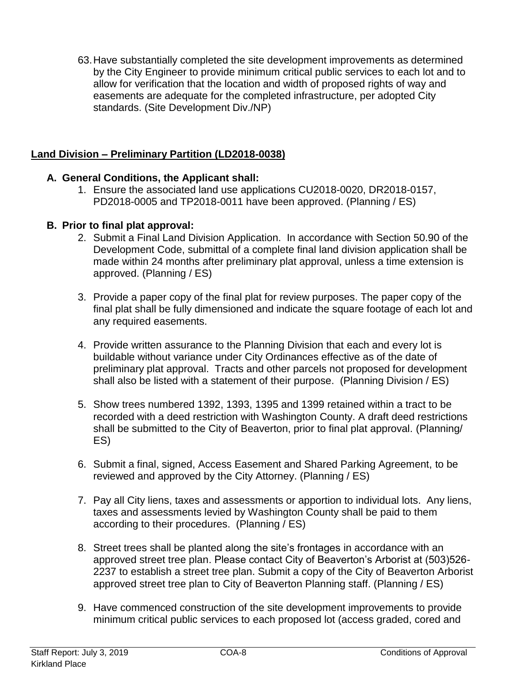63.Have substantially completed the site development improvements as determined by the City Engineer to provide minimum critical public services to each lot and to allow for verification that the location and width of proposed rights of way and easements are adequate for the completed infrastructure, per adopted City standards. (Site Development Div./NP)

# **Land Division – Preliminary Partition (LD2018-0038)**

# **A. General Conditions, the Applicant shall:**

1. Ensure the associated land use applications CU2018-0020, DR2018-0157, PD2018-0005 and TP2018-0011 have been approved. (Planning / ES)

# **B. Prior to final plat approval:**

- 2. Submit a Final Land Division Application. In accordance with Section 50.90 of the Development Code, submittal of a complete final land division application shall be made within 24 months after preliminary plat approval, unless a time extension is approved. (Planning / ES)
- 3. Provide a paper copy of the final plat for review purposes. The paper copy of the final plat shall be fully dimensioned and indicate the square footage of each lot and any required easements.
- 4. Provide written assurance to the Planning Division that each and every lot is buildable without variance under City Ordinances effective as of the date of preliminary plat approval. Tracts and other parcels not proposed for development shall also be listed with a statement of their purpose. (Planning Division / ES)
- 5. Show trees numbered 1392, 1393, 1395 and 1399 retained within a tract to be recorded with a deed restriction with Washington County. A draft deed restrictions shall be submitted to the City of Beaverton, prior to final plat approval. (Planning/ ES)
- 6. Submit a final, signed, Access Easement and Shared Parking Agreement, to be reviewed and approved by the City Attorney. (Planning / ES)
- 7. Pay all City liens, taxes and assessments or apportion to individual lots. Any liens, taxes and assessments levied by Washington County shall be paid to them according to their procedures. (Planning / ES)
- 8. Street trees shall be planted along the site's frontages in accordance with an approved street tree plan. Please contact City of Beaverton's Arborist at (503)526- 2237 to establish a street tree plan. Submit a copy of the City of Beaverton Arborist approved street tree plan to City of Beaverton Planning staff. (Planning / ES)
- 9. Have commenced construction of the site development improvements to provide minimum critical public services to each proposed lot (access graded, cored and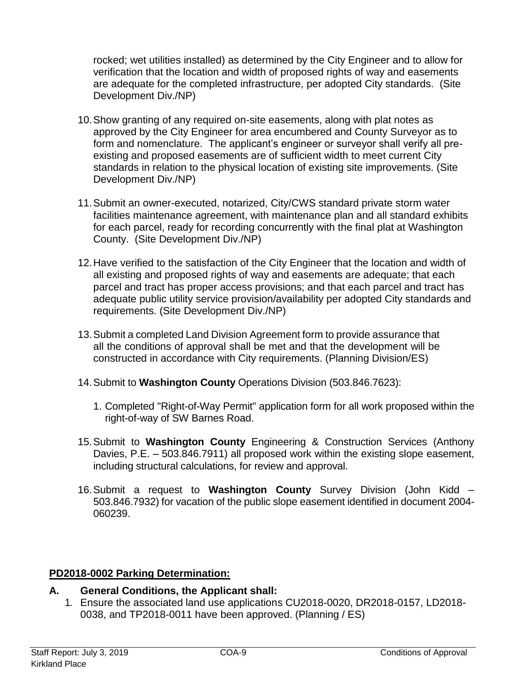rocked; wet utilities installed) as determined by the City Engineer and to allow for verification that the location and width of proposed rights of way and easements are adequate for the completed infrastructure, per adopted City standards. (Site Development Div./NP)

- 10.Show granting of any required on-site easements, along with plat notes as approved by the City Engineer for area encumbered and County Surveyor as to form and nomenclature. The applicant's engineer or surveyor shall verify all preexisting and proposed easements are of sufficient width to meet current City standards in relation to the physical location of existing site improvements. (Site Development Div./NP)
- 11.Submit an owner-executed, notarized, City/CWS standard private storm water facilities maintenance agreement, with maintenance plan and all standard exhibits for each parcel, ready for recording concurrently with the final plat at Washington County. (Site Development Div./NP)
- 12.Have verified to the satisfaction of the City Engineer that the location and width of all existing and proposed rights of way and easements are adequate; that each parcel and tract has proper access provisions; and that each parcel and tract has adequate public utility service provision/availability per adopted City standards and requirements. (Site Development Div./NP)
- 13.Submit a completed Land Division Agreement form to provide assurance that all the conditions of approval shall be met and that the development will be constructed in accordance with City requirements. (Planning Division/ES)
- 14.Submit to **Washington County** Operations Division (503.846.7623):
	- 1. Completed "Right-of-Way Permit" application form for all work proposed within the right-of-way of SW Barnes Road.
- 15.Submit to **Washington County** Engineering & Construction Services (Anthony Davies, P.E. – 503.846.7911) all proposed work within the existing slope easement, including structural calculations, for review and approval.
- 16.Submit a request to **Washington County** Survey Division (John Kidd 503.846.7932) for vacation of the public slope easement identified in document 2004- 060239.

## **PD2018-0002 Parking Determination:**

## **A. General Conditions, the Applicant shall:**

1. Ensure the associated land use applications CU2018-0020, DR2018-0157, LD2018- 0038, and TP2018-0011 have been approved. (Planning / ES)